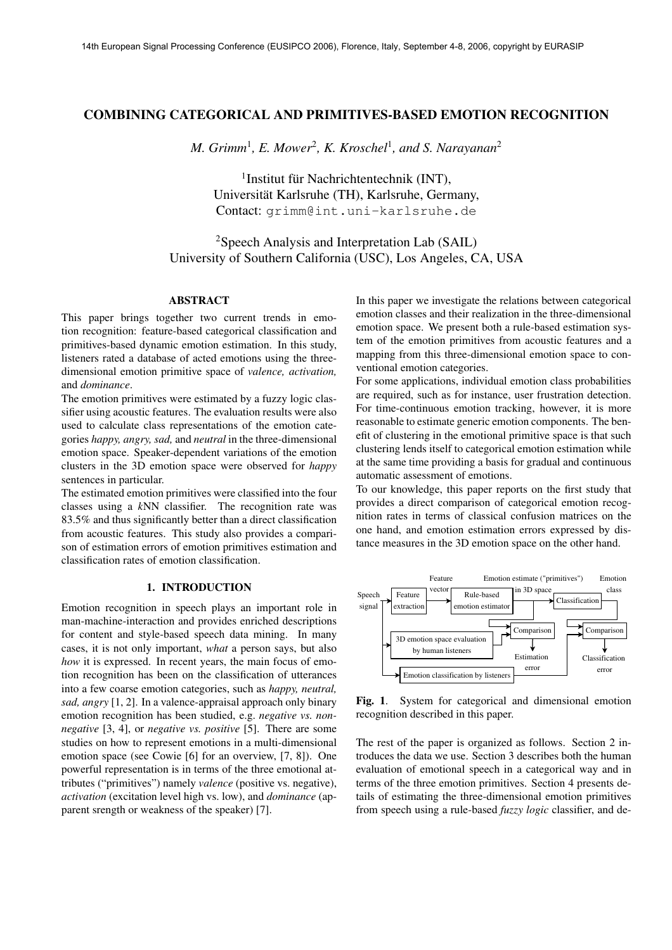# **COMBINING CATEGORICAL AND PRIMITIVES-BASED EMOTION RECOGNITION**

*M. Grimm*<sup>1</sup> *, E. Mower*<sup>2</sup> *, K. Kroschel*<sup>1</sup> *, and S. Narayanan*<sup>2</sup>

<sup>1</sup>Institut für Nachrichtentechnik (INT), Universität Karlsruhe (TH), Karlsruhe, Germany, Contact: grimm@int.uni-karlsruhe.de

<sup>2</sup>Speech Analysis and Interpretation Lab (SAIL) University of Southern California (USC), Los Angeles, CA, USA

#### **ABSTRACT**

This paper brings together two current trends in emotion recognition: feature-based categorical classification and primitives-based dynamic emotion estimation. In this study, listeners rated a database of acted emotions using the threedimensional emotion primitive space of *valence, activation,* and *dominance*.

The emotion primitives were estimated by a fuzzy logic classifier using acoustic features. The evaluation results were also used to calculate class representations of the emotion categories *happy, angry, sad,* and *neutral* in the three-dimensional emotion space. Speaker-dependent variations of the emotion clusters in the 3D emotion space were observed for *happy* sentences in particular.

The estimated emotion primitives were classified into the four classes using a *k*NN classifier. The recognition rate was 83.5% and thus significantly better than a direct classification from acoustic features. This study also provides a comparison of estimation errors of emotion primitives estimation and classification rates of emotion classification.

# **1. INTRODUCTION**

Emotion recognition in speech plays an important role in man-machine-interaction and provides enriched descriptions for content and style-based speech data mining. In many cases, it is not only important, *what* a person says, but also *how* it is expressed. In recent years, the main focus of emotion recognition has been on the classification of utterances into a few coarse emotion categories, such as *happy, neutral, sad, angry* [1, 2]. In a valence-appraisal approach only binary emotion recognition has been studied, e.g. *negative vs. nonnegative* [3, 4], or *negative vs. positive* [5]. There are some studies on how to represent emotions in a multi-dimensional emotion space (see Cowie [6] for an overview, [7, 8]). One powerful representation is in terms of the three emotional attributes ("primitives") namely *valence* (positive vs. negative), *activation* (excitation level high vs. low), and *dominance* (apparent srength or weakness of the speaker) [7].

In this paper we investigate the relations between categorical emotion classes and their realization in the three-dimensional emotion space. We present both a rule-based estimation system of the emotion primitives from acoustic features and a mapping from this three-dimensional emotion space to conventional emotion categories.

For some applications, individual emotion class probabilities are required, such as for instance, user frustration detection. For time-continuous emotion tracking, however, it is more reasonable to estimate generic emotion components. The benefit of clustering in the emotional primitive space is that such clustering lends itself to categorical emotion estimation while at the same time providing a basis for gradual and continuous automatic assessment of emotions.

To our knowledge, this paper reports on the first study that provides a direct comparison of categorical emotion recognition rates in terms of classical confusion matrices on the one hand, and emotion estimation errors expressed by distance measures in the 3D emotion space on the other hand.



**Fig. 1**. System for categorical and dimensional emotion recognition described in this paper.

The rest of the paper is organized as follows. Section 2 introduces the data we use. Section 3 describes both the human evaluation of emotional speech in a categorical way and in terms of the three emotion primitives. Section 4 presents details of estimating the three-dimensional emotion primitives from speech using a rule-based *fuzzy logic* classifier, and de-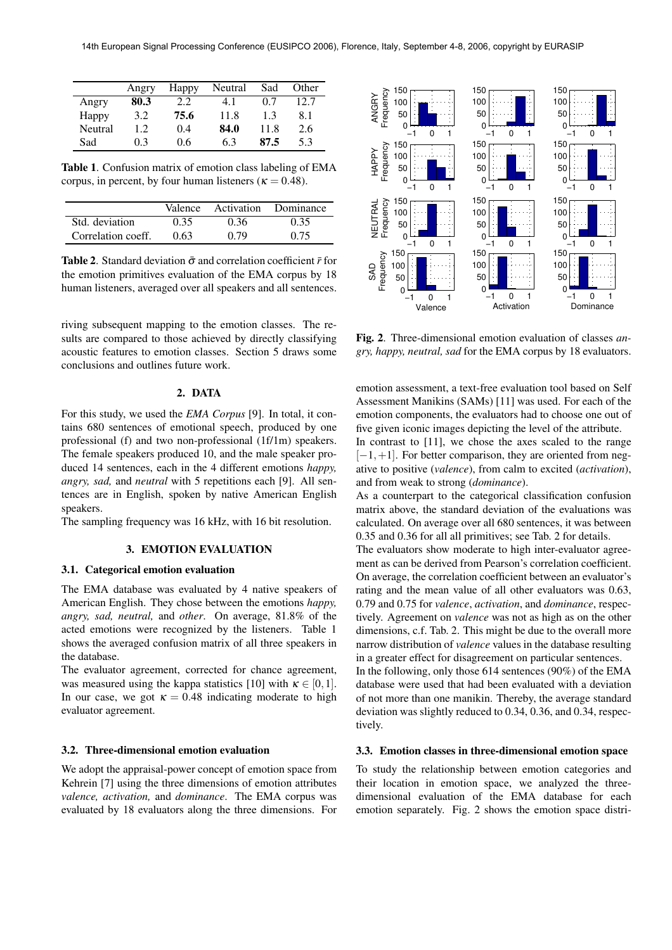|         | Angry | Happy | Neutral | Sad  | Other |
|---------|-------|-------|---------|------|-------|
| Angry   | 80.3  | 2.2   | 4.1     | 0.7  | 12.7  |
| Happy   | 3.2   | 75.6  | 11.8    | 1.3  | 8.1   |
| Neutral | 1.2   | 0.4   | 84.0    | 11.8 | 2.6   |
| Sad     | 0.3   | 0.6   | 6.3     | 87.5 | 5.3   |

**Table 1**. Confusion matrix of emotion class labeling of EMA corpus, in percent, by four human listeners ( $\kappa = 0.48$ ).

|                    | Valence |      | Activation Dominance |
|--------------------|---------|------|----------------------|
| Std. deviation     | 0.35    | 0.36 | 0.35                 |
| Correlation coeff. | 0.63    | 0.79 | 0.75                 |

**Table 2.** Standard deviation  $\bar{\sigma}$  and correlation coefficient  $\bar{r}$  for the emotion primitives evaluation of the EMA corpus by 18 human listeners, averaged over all speakers and all sentences.

riving subsequent mapping to the emotion classes. The results are compared to those achieved by directly classifying acoustic features to emotion classes. Section 5 draws some conclusions and outlines future work.

# **2. DATA**

For this study, we used the *EMA Corpus* [9]. In total, it contains 680 sentences of emotional speech, produced by one professional (f) and two non-professional (1f/1m) speakers. The female speakers produced 10, and the male speaker produced 14 sentences, each in the 4 different emotions *happy, angry, sad,* and *neutral* with 5 repetitions each [9]. All sentences are in English, spoken by native American English speakers.

The sampling frequency was 16 kHz, with 16 bit resolution.

#### **3. EMOTION EVALUATION**

## **3.1. Categorical emotion evaluation**

The EMA database was evaluated by 4 native speakers of American English. They chose between the emotions *happy, angry, sad, neutral,* and *other*. On average, 81.8% of the acted emotions were recognized by the listeners. Table 1 shows the averaged confusion matrix of all three speakers in the database.

The evaluator agreement, corrected for chance agreement, was measured using the kappa statistics [10] with  $\kappa \in [0,1]$ . In our case, we got  $\kappa = 0.48$  indicating moderate to high evaluator agreement.

#### **3.2. Three-dimensional emotion evaluation**

We adopt the appraisal-power concept of emotion space from Kehrein [7] using the three dimensions of emotion attributes *valence, activation,* and *dominance*. The EMA corpus was evaluated by 18 evaluators along the three dimensions. For



**Fig. 2**. Three-dimensional emotion evaluation of classes *angry, happy, neutral, sad* for the EMA corpus by 18 evaluators.

emotion assessment, a text-free evaluation tool based on Self Assessment Manikins (SAMs) [11] was used. For each of the emotion components, the evaluators had to choose one out of five given iconic images depicting the level of the attribute. In contrast to [11], we chose the axes scaled to the range  $[-1,+1]$ . For better comparison, they are oriented from neg-

ative to positive (*valence*), from calm to excited (*activation*), and from weak to strong (*dominance*).

As a counterpart to the categorical classification confusion matrix above, the standard deviation of the evaluations was calculated. On average over all 680 sentences, it was between 0.35 and 0.36 for all all primitives; see Tab. 2 for details.

The evaluators show moderate to high inter-evaluator agreement as can be derived from Pearson's correlation coefficient. On average, the correlation coefficient between an evaluator's rating and the mean value of all other evaluators was 0.63, 0.79 and 0.75 for *valence*, *activation*, and *dominance*, respectively. Agreement on *valence* was not as high as on the other dimensions, c.f. Tab. 2. This might be due to the overall more narrow distribution of *valence* values in the database resulting in a greater effect for disagreement on particular sentences. In the following, only those 614 sentences (90%) of the EMA database were used that had been evaluated with a deviation of not more than one manikin. Thereby, the average standard deviation was slightly reduced to 0.34, 0.36, and 0.34, respec-

tively.

# **3.3. Emotion classes in three-dimensional emotion space**

To study the relationship between emotion categories and their location in emotion space, we analyzed the threedimensional evaluation of the EMA database for each emotion separately. Fig. 2 shows the emotion space distri-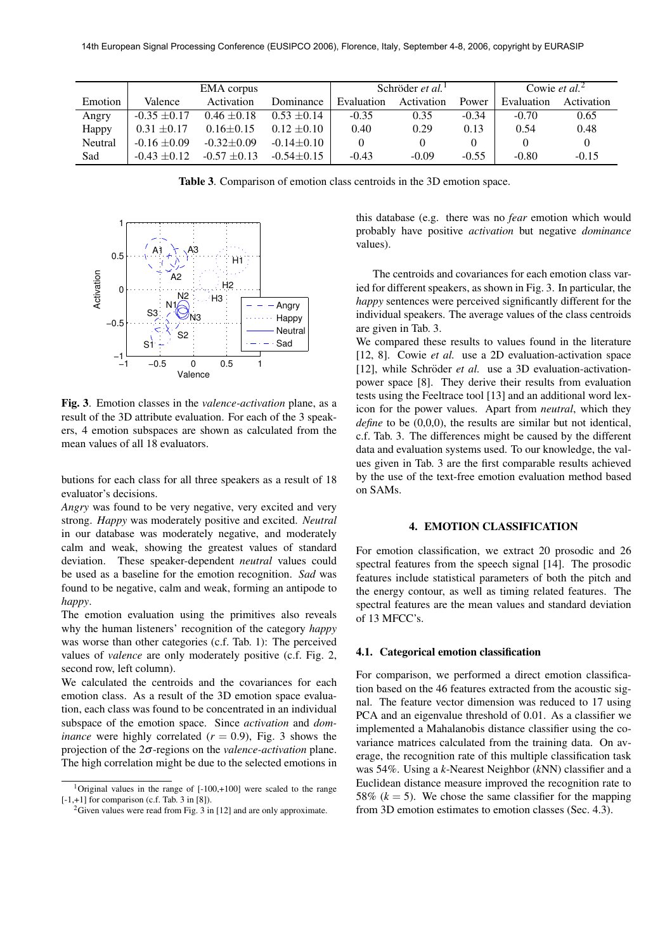|         | <b>EMA</b> corpus |                  |                  | Schröder <i>et al.</i> <sup>1</sup> |            |         | Cowie et al. <sup>2</sup> |            |
|---------|-------------------|------------------|------------------|-------------------------------------|------------|---------|---------------------------|------------|
| Emotion | Valence           | Activation       | Dominance        | Evaluation                          | Activation | Power   | Evaluation                | Activation |
| Angry   | $-0.35 + 0.17$    | $0.46 \pm 0.18$  | $0.53 \pm 0.14$  | $-0.35$                             | 0.35       | $-0.34$ | $-0.70$                   | 0.65       |
| Happy   | $0.31 \pm 0.17$   | $0.16 \pm 0.15$  | $0.12 \pm 0.10$  | 0.40                                | 0.29       | 0.13    | 0.54                      | 0.48       |
| Neutral | $-0.16 + 0.09$    | $-0.32 \pm 0.09$ | $-0.14 \pm 0.10$ |                                     |            |         | 0                         |            |
| Sad     | $-0.43 + 0.12$    | $-0.57 + 0.13$   | $-0.54 \pm 0.15$ | $-0.43$                             | $-0.09$    | $-0.55$ | $-0.80$                   | $-0.15$    |

**Table 3**. Comparison of emotion class centroids in the 3D emotion space.



**Fig. 3**. Emotion classes in the *valence-activation* plane, as a result of the 3D attribute evaluation. For each of the 3 speakers, 4 emotion subspaces are shown as calculated from the mean values of all 18 evaluators.

butions for each class for all three speakers as a result of 18 evaluator's decisions.

*Angry* was found to be very negative, very excited and very strong. *Happy* was moderately positive and excited. *Neutral* in our database was moderately negative, and moderately calm and weak, showing the greatest values of standard deviation. These speaker-dependent *neutral* values could be used as a baseline for the emotion recognition. *Sad* was found to be negative, calm and weak, forming an antipode to *happy*.

The emotion evaluation using the primitives also reveals why the human listeners' recognition of the category *happy* was worse than other categories (c.f. Tab. 1): The perceived values of *valence* are only moderately positive (c.f. Fig. 2, second row, left column).

We calculated the centroids and the covariances for each emotion class. As a result of the 3D emotion space evaluation, each class was found to be concentrated in an individual subspace of the emotion space. Since *activation* and *dominance* were highly correlated  $(r = 0.9)$ , Fig. 3 shows the projection of the 2σ-regions on the *valence-activation* plane. The high correlation might be due to the selected emotions in this database (e.g. there was no *fear* emotion which would probably have positive *activation* but negative *dominance* values).

The centroids and covariances for each emotion class varied for different speakers, as shown in Fig. 3. In particular, the *happy* sentences were perceived significantly different for the individual speakers. The average values of the class centroids are given in Tab. 3.

We compared these results to values found in the literature [12, 8]. Cowie *et al.* use a 2D evaluation-activation space [12], while Schröder et al. use a 3D evaluation-activationpower space [8]. They derive their results from evaluation tests using the Feeltrace tool [13] and an additional word lexicon for the power values. Apart from *neutral*, which they *define* to be  $(0,0,0)$ , the results are similar but not identical, c.f. Tab. 3. The differences might be caused by the different data and evaluation systems used. To our knowledge, the values given in Tab. 3 are the first comparable results achieved by the use of the text-free emotion evaluation method based on SAMs.

## **4. EMOTION CLASSIFICATION**

For emotion classification, we extract 20 prosodic and 26 spectral features from the speech signal [14]. The prosodic features include statistical parameters of both the pitch and the energy contour, as well as timing related features. The spectral features are the mean values and standard deviation of 13 MFCC's.

## **4.1. Categorical emotion classification**

For comparison, we performed a direct emotion classification based on the 46 features extracted from the acoustic signal. The feature vector dimension was reduced to 17 using PCA and an eigenvalue threshold of 0.01. As a classifier we implemented a Mahalanobis distance classifier using the covariance matrices calculated from the training data. On average, the recognition rate of this multiple classification task was 54%. Using a *k*-Nearest Neighbor (*k*NN) classifier and a Euclidean distance measure improved the recognition rate to 58%  $(k = 5)$ . We chose the same classifier for the mapping from 3D emotion estimates to emotion classes (Sec. 4.3).

<sup>&</sup>lt;sup>1</sup>Original values in the range of  $[-100,+100]$  were scaled to the range [-1,+1] for comparison (c.f. Tab. 3 in [8]).

<sup>&</sup>lt;sup>2</sup>Given values were read from Fig. 3 in [12] and are only approximate.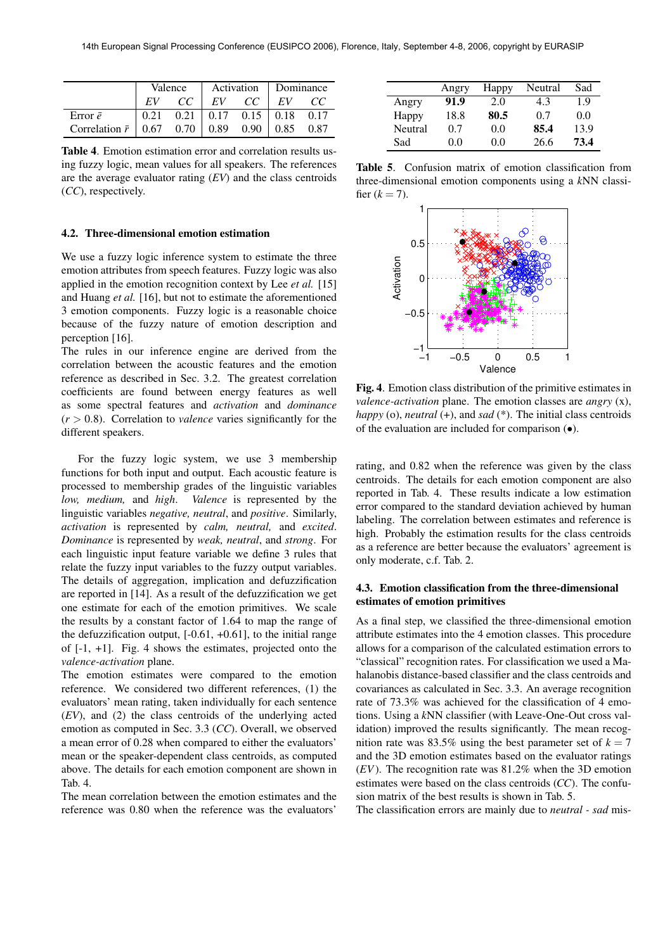|                                          | Valence |    |    |                                  | Activation Dominance |      |
|------------------------------------------|---------|----|----|----------------------------------|----------------------|------|
|                                          |         | CC | EV | CC.                              | EV                   | CC   |
| Error $\bar{e}$                          | 0.21    |    |    | $0.21$   $0.17$ 0.15   0.18 0.17 |                      |      |
| Correlation $\bar{r}$   0.67 0.70   0.89 |         |    |    | $0.90 \perp$                     | 0.85                 | 0.87 |

**Table 4**. Emotion estimation error and correlation results using fuzzy logic, mean values for all speakers. The references are the average evaluator rating (*EV*) and the class centroids (*CC*), respectively.

#### **4.2. Three-dimensional emotion estimation**

We use a fuzzy logic inference system to estimate the three emotion attributes from speech features. Fuzzy logic was also applied in the emotion recognition context by Lee *et al.* [15] and Huang *et al.* [16], but not to estimate the aforementioned 3 emotion components. Fuzzy logic is a reasonable choice because of the fuzzy nature of emotion description and perception [16].

The rules in our inference engine are derived from the correlation between the acoustic features and the emotion reference as described in Sec. 3.2. The greatest correlation coefficients are found between energy features as well as some spectral features and *activation* and *dominance*  $(r > 0.8)$ . Correlation to *valence* varies significantly for the different speakers.

For the fuzzy logic system, we use 3 membership functions for both input and output. Each acoustic feature is processed to membership grades of the linguistic variables *low, medium,* and *high*. *Valence* is represented by the linguistic variables *negative, neutral*, and *positive*. Similarly, *activation* is represented by *calm, neutral,* and *excited*. *Dominance* is represented by *weak, neutral*, and *strong*. For each linguistic input feature variable we define 3 rules that relate the fuzzy input variables to the fuzzy output variables. The details of aggregation, implication and defuzzification are reported in [14]. As a result of the defuzzification we get one estimate for each of the emotion primitives. We scale the results by a constant factor of 1.64 to map the range of the defuzzification output,  $[-0.61, +0.61]$ , to the initial range of [-1, +1]. Fig. 4 shows the estimates, projected onto the *valence-activation* plane.

The emotion estimates were compared to the emotion reference. We considered two different references, (1) the evaluators' mean rating, taken individually for each sentence (*EV*), and (2) the class centroids of the underlying acted emotion as computed in Sec. 3.3 (*CC*). Overall, we observed a mean error of 0.28 when compared to either the evaluators' mean or the speaker-dependent class centroids, as computed above. The details for each emotion component are shown in Tab. 4.

The mean correlation between the emotion estimates and the reference was 0.80 when the reference was the evaluators'

|         | Angry | Happy | Neutral | Sad  |
|---------|-------|-------|---------|------|
| Angry   | 91.9  | 2.0   | 4.3     | 1.9  |
| Happy   | 18.8  | 80.5  | 0.7     | 0.0  |
| Neutral | 0.7   | 0.0   | 85.4    | 13.9 |
| Sad     | 0.0   | 0.0   | 26.6    | 73.4 |

**Table 5**. Confusion matrix of emotion classification from three-dimensional emotion components using a *k*NN classifier  $(k = 7)$ .



**Fig. 4**. Emotion class distribution of the primitive estimates in *valence-activation* plane. The emotion classes are *angry* (x), *happy* (o), *neutral* (+), and *sad* (\*). The initial class centroids of the evaluation are included for comparison (•).

rating, and 0.82 when the reference was given by the class centroids. The details for each emotion component are also reported in Tab. 4. These results indicate a low estimation error compared to the standard deviation achieved by human labeling. The correlation between estimates and reference is high. Probably the estimation results for the class centroids as a reference are better because the evaluators' agreement is only moderate, c.f. Tab. 2.

# **4.3. Emotion classification from the three-dimensional estimates of emotion primitives**

As a final step, we classified the three-dimensional emotion attribute estimates into the 4 emotion classes. This procedure allows for a comparison of the calculated estimation errors to "classical" recognition rates. For classification we used a Mahalanobis distance-based classifier and the class centroids and covariances as calculated in Sec. 3.3. An average recognition rate of 73.3% was achieved for the classification of 4 emotions. Using a *k*NN classifier (with Leave-One-Out cross validation) improved the results significantly. The mean recognition rate was 83.5% using the best parameter set of  $k = 7$ and the 3D emotion estimates based on the evaluator ratings (*EV*). The recognition rate was 81.2% when the 3D emotion estimates were based on the class centroids (*CC*). The confusion matrix of the best results is shown in Tab. 5.

The classification errors are mainly due to *neutral - sad* mis-